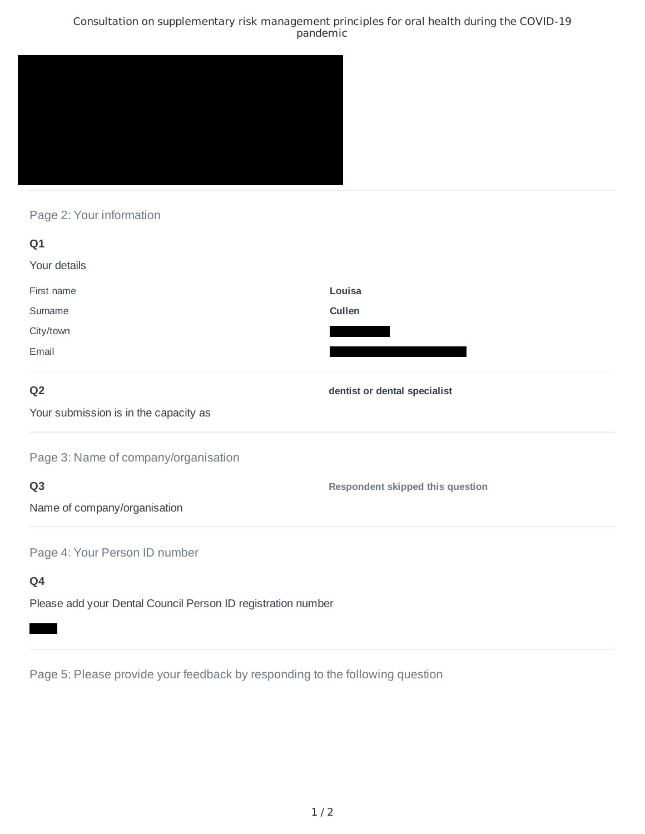### Consultation on supplementary risk management principles for oral health during the COVID-19 pandemic



# Page 2: Your information

| Q1                                                           |                                  |
|--------------------------------------------------------------|----------------------------------|
| Your details                                                 |                                  |
| First name                                                   | Louisa                           |
| Surname                                                      | Cullen                           |
| City/town                                                    |                                  |
| Email                                                        |                                  |
| Q <sub>2</sub>                                               | dentist or dental specialist     |
| Your submission is in the capacity as                        |                                  |
| Page 3: Name of company/organisation                         |                                  |
| Q <sub>3</sub>                                               | Respondent skipped this question |
| Name of company/organisation                                 |                                  |
| Page 4: Your Person ID number                                |                                  |
| Q4                                                           |                                  |
| Please add your Dental Council Person ID registration number |                                  |

Page 5: Please provide your feedback by responding to the following question